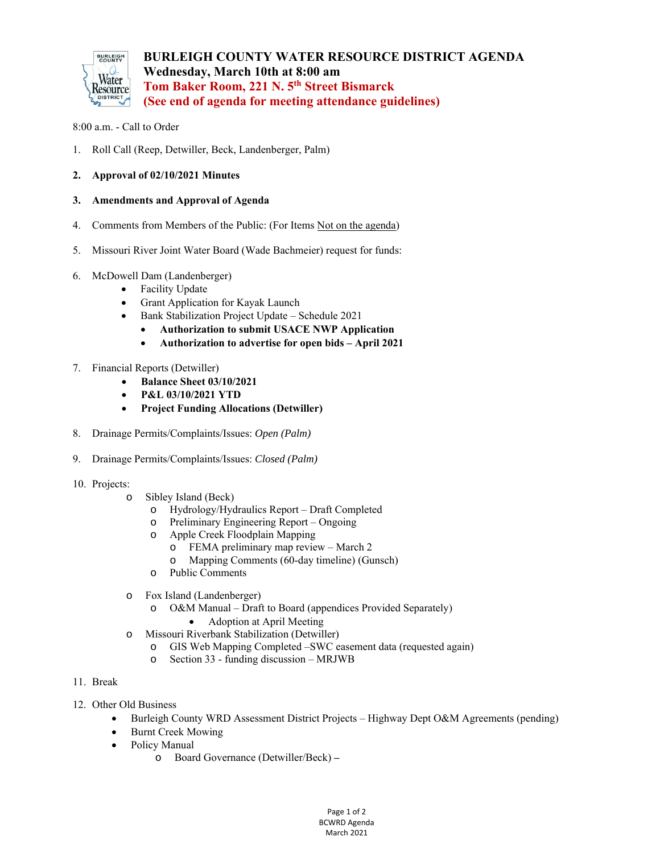

## 8:00 a.m. - Call to Order

- 1. Roll Call (Reep, Detwiller, Beck, Landenberger, Palm)
- **2. Approval of 02/10/2021 Minutes**
- **3. Amendments and Approval of Agenda**
- 4. Comments from Members of the Public: (For Items Not on the agenda)
- 5. Missouri River Joint Water Board (Wade Bachmeier) request for funds:
- 6. McDowell Dam (Landenberger)
	- Facility Update
	- Grant Application for Kayak Launch
	- Bank Stabilization Project Update Schedule 2021
		- **Authorization to submit USACE NWP Application**
		- **Authorization to advertise for open bids April 2021**
- 7. Financial Reports (Detwiller)
	- **Balance Sheet 03/10/2021**
	- **P&L 03/10/2021 YTD**
	- **Project Funding Allocations (Detwiller)**
- 8. Drainage Permits/Complaints/Issues: *Open (Palm)*
- 9. Drainage Permits/Complaints/Issues: *Closed (Palm)*
- 10. Projects:
	- o Sibley Island (Beck)
		- o Hydrology/Hydraulics Report Draft Completed
		- o Preliminary Engineering Report Ongoing
		- o Apple Creek Floodplain Mapping
			- o FEMA preliminary map review March 2
			- o Mapping Comments (60-day timeline) (Gunsch)
		- o Public Comments
	- o Fox Island (Landenberger)
		- o O&M Manual Draft to Board (appendices Provided Separately)
			- Adoption at April Meeting
	- o Missouri Riverbank Stabilization (Detwiller)
		- o GIS Web Mapping Completed –SWC easement data (requested again)
		- o Section 33 funding discussion MRJWB
- 11. Break
- 12. Other Old Business
	- Burleigh County WRD Assessment District Projects Highway Dept O&M Agreements (pending)
	- Burnt Creek Mowing
	- Policy Manual
		- o Board Governance (Detwiller/Beck)

Page 1 of 2 BCWRD Agenda March 2021